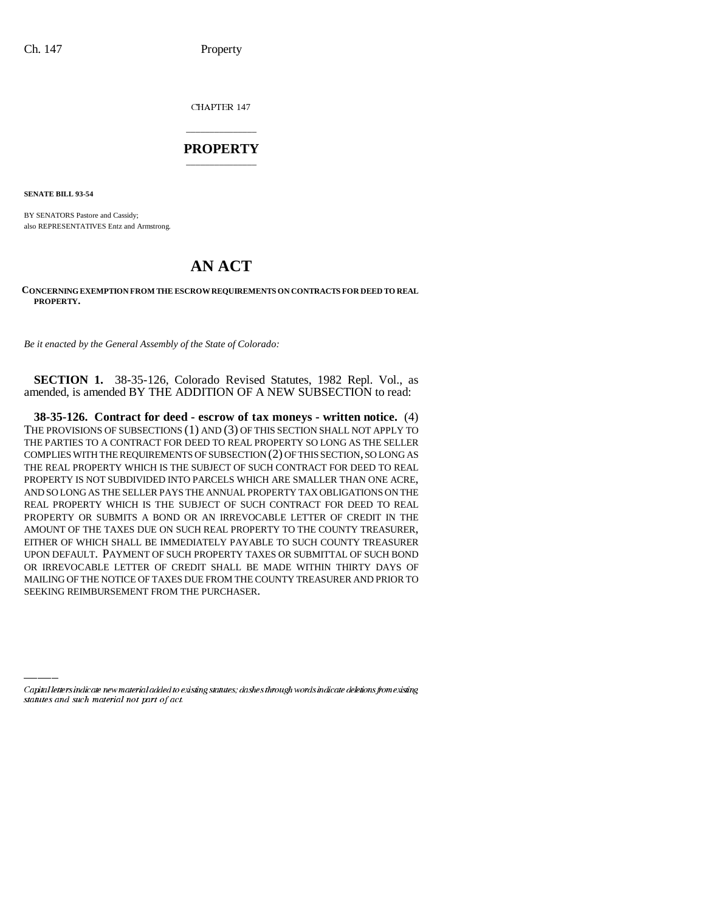CHAPTER 147

## \_\_\_\_\_\_\_\_\_\_\_\_\_\_\_ **PROPERTY** \_\_\_\_\_\_\_\_\_\_\_\_\_\_\_

**SENATE BILL 93-54**

BY SENATORS Pastore and Cassidy; also REPRESENTATIVES Entz and Armstrong.

## **AN ACT**

## **CONCERNING EXEMPTION FROM THE ESCROW REQUIREMENTS ON CONTRACTS FOR DEED TO REAL PROPERTY.**

*Be it enacted by the General Assembly of the State of Colorado:*

**SECTION 1.** 38-35-126, Colorado Revised Statutes, 1982 Repl. Vol., as amended, is amended BY THE ADDITION OF A NEW SUBSECTION to read:

SEEKING REIMBURSEMENT FROM THE PURCHASER.**38-35-126. Contract for deed - escrow of tax moneys - written notice.** (4) THE PROVISIONS OF SUBSECTIONS (1) AND (3) OF THIS SECTION SHALL NOT APPLY TO THE PARTIES TO A CONTRACT FOR DEED TO REAL PROPERTY SO LONG AS THE SELLER COMPLIES WITH THE REQUIREMENTS OF SUBSECTION (2) OF THIS SECTION, SO LONG AS THE REAL PROPERTY WHICH IS THE SUBJECT OF SUCH CONTRACT FOR DEED TO REAL PROPERTY IS NOT SUBDIVIDED INTO PARCELS WHICH ARE SMALLER THAN ONE ACRE, AND SO LONG AS THE SELLER PAYS THE ANNUAL PROPERTY TAX OBLIGATIONS ON THE REAL PROPERTY WHICH IS THE SUBJECT OF SUCH CONTRACT FOR DEED TO REAL PROPERTY OR SUBMITS A BOND OR AN IRREVOCABLE LETTER OF CREDIT IN THE AMOUNT OF THE TAXES DUE ON SUCH REAL PROPERTY TO THE COUNTY TREASURER, EITHER OF WHICH SHALL BE IMMEDIATELY PAYABLE TO SUCH COUNTY TREASURER UPON DEFAULT. PAYMENT OF SUCH PROPERTY TAXES OR SUBMITTAL OF SUCH BOND OR IRREVOCABLE LETTER OF CREDIT SHALL BE MADE WITHIN THIRTY DAYS OF MAILING OF THE NOTICE OF TAXES DUE FROM THE COUNTY TREASURER AND PRIOR TO

Capital letters indicate new material added to existing statutes; dashes through words indicate deletions from existing statutes and such material not part of act.